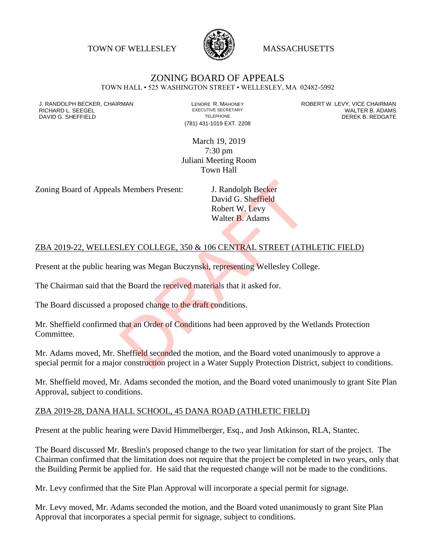TOWN OF WELLESLEY **WASSACHUSETTS** 



## ZONING BOARD OF APPEALS

TOWN HALL • 525 WASHINGTON STREET • WELLESLEY, MA 02482-5992

DAVID G. SHEFFIELD

(781) 431-1019 EXT. 2208

J. RANDOLPH BECKER, CHAIRMAN LENORE R. MAHONEY LENORE R. MAHONEY ROBERT W. LEVY, VICE CHAIRMAN LENORE R. ADAMS<br>RICHARD L. SEEGEL LENDRIS ADAMS LEXECUTIVE SECRETARY LENORE R. ADAMS RICHARD L. SEEGEL EXECUTIVE SECRETARY WALTER B. ADAMS

> March 19, 2019 7:30 pm Juliani Meeting Room Town Hall

Zoning Board of Appeals Members Present: J. Randolph Becker

David G. Sheffield Robert W. Levy Walter B. Adams

## ZBA 2019-22, WELLESLEY COLLEGE, 350 & 106 CENTRAL STREET (ATHLETIC FIELD)

Present at the public hearing was Megan Buczynski, representing Wellesley College.

The Chairman said that the Board the received materials that it asked for.

The Board discussed a proposed change to the draft conditions.

Mr. Sheffield confirmed that an Order of Conditions had been approved by the Wetlands Protection Committee. S. Members Present:<br>
J. Randolph Becker<br>
David G. Sheffield<br>
Robert W. Levy<br>
Walter B. Adams<br>
LEY COLLEGE, 350 & 106 CENTRAL STREET (ATE<br>
ting was Megan Buczynski, representing Wellesley Colle<br>
the Board the received mater

Mr. Adams moved, Mr. Sheffield seconded the motion, and the Board voted unanimously to approve a special permit for a major construction project in a Water Supply Protection District, subject to conditions.

Mr. Sheffield moved, Mr. Adams seconded the motion, and the Board voted unanimously to grant Site Plan Approval, subject to conditions.

## ZBA 2019-28, DANA HALL SCHOOL, 45 DANA ROAD (ATHLETIC FIELD)

Present at the public hearing were David Himmelberger, Esq., and Josh Atkinson, RLA, Stantec.

The Board discussed Mr. Breslin's proposed change to the two year limitation for start of the project. The Chairman confirmed that the limitation does not require that the project be completed in two years, only that the Building Permit be applied for. He said that the requested change will not be made to the conditions.

Mr. Levy confirmed that the Site Plan Approval will incorporate a special permit for signage.

Mr. Levy moved, Mr. Adams seconded the motion, and the Board voted unanimously to grant Site Plan Approval that incorporates a special permit for signage, subject to conditions.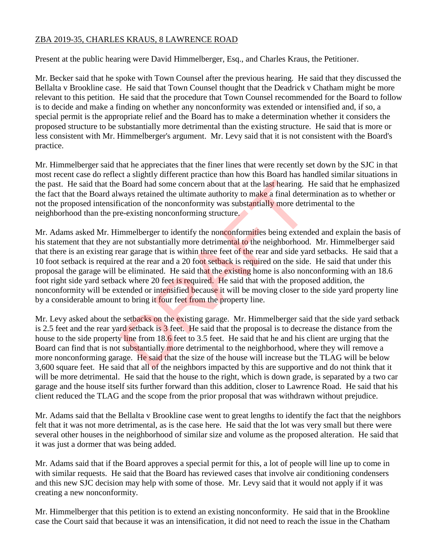## ZBA 2019-35, CHARLES KRAUS, 8 LAWRENCE ROAD

Present at the public hearing were David Himmelberger, Esq., and Charles Kraus, the Petitioner.

Mr. Becker said that he spoke with Town Counsel after the previous hearing. He said that they discussed the Bellalta v Brookline case. He said that Town Counsel thought that the Deadrick v Chatham might be more relevant to this petition. He said that the procedure that Town Counsel recommended for the Board to follow is to decide and make a finding on whether any nonconformity was extended or intensified and, if so, a special permit is the appropriate relief and the Board has to make a determination whether it considers the proposed structure to be substantially more detrimental than the existing structure. He said that is more or less consistent with Mr. Himmelberger's argument. Mr. Levy said that it is not consistent with the Board's practice.

Mr. Himmelberger said that he appreciates that the finer lines that were recently set down by the SJC in that most recent case do reflect a slightly different practice than how this Board has handled similar situations in the past. He said that the Board had some concern about that at the last hearing. He said that he emphasized the fact that the Board always retained the ultimate authority to make a final determination as to whether or not the proposed intensification of the nonconformity was substantially more detrimental to the neighborhood than the pre-existing nonconforming structure.

Mr. Adams asked Mr. Himmelberger to identify the nonconformities being extended and explain the basis of his statement that they are not substantially more detrimental to the neighborhood. Mr. Himmelberger said that there is an existing rear garage that is within three feet of the rear and side yard setbacks. He said that a 10 foot setback is required at the rear and a 20 foot setback is required on the side. He said that under this proposal the garage will be eliminated. He said that the existing home is also nonconforming with an 18.6 foot right side yard setback where 20 feet is required. He said that with the proposed addition, the nonconformity will be extended or intensified because it will be moving closer to the side yard property line by a considerable amount to bring it four feet from the property line. Board had some concern about that at the last hearing. I<br>ways retained the ultimate authority to make a final deter-<br>ication of the nonconformity was substantially more detri-<br>e-existing nonconforming structure.<br>mmelberge

Mr. Levy asked about the setbacks on the existing garage. Mr. Himmelberger said that the side yard setback is 2.5 feet and the rear yard setback is 3 feet. He said that the proposal is to decrease the distance from the house to the side property line from 18.6 feet to 3.5 feet. He said that he and his client are urging that the Board can find that is not substantially more detrimental to the neighborhood, where they will remove a more nonconforming garage. He said that the size of the house will increase but the TLAG will be below 3,600 square feet. He said that all of the neighbors impacted by this are supportive and do not think that it will be more detrimental. He said that the house to the right, which is down grade, is separated by a two car garage and the house itself sits further forward than this addition, closer to Lawrence Road. He said that his client reduced the TLAG and the scope from the prior proposal that was withdrawn without prejudice.

Mr. Adams said that the Bellalta v Brookline case went to great lengths to identify the fact that the neighbors felt that it was not more detrimental, as is the case here. He said that the lot was very small but there were several other houses in the neighborhood of similar size and volume as the proposed alteration. He said that it was just a dormer that was being added.

Mr. Adams said that if the Board approves a special permit for this, a lot of people will line up to come in with similar requests. He said that the Board has reviewed cases that involve air conditioning condensers and this new SJC decision may help with some of those. Mr. Levy said that it would not apply if it was creating a new nonconformity.

Mr. Himmelberger that this petition is to extend an existing nonconformity. He said that in the Brookline case the Court said that because it was an intensification, it did not need to reach the issue in the Chatham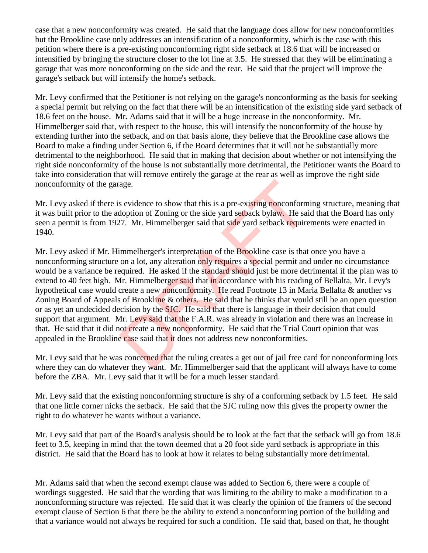case that a new nonconformity was created. He said that the language does allow for new nonconformities but the Brookline case only addresses an intensification of a nonconformity, which is the case with this petition where there is a pre-existing nonconforming right side setback at 18.6 that will be increased or intensified by bringing the structure closer to the lot line at 3.5. He stressed that they will be eliminating a garage that was more nonconforming on the side and the rear. He said that the project will improve the garage's setback but will intensify the home's setback.

Mr. Levy confirmed that the Petitioner is not relying on the garage's nonconforming as the basis for seeking a special permit but relying on the fact that there will be an intensification of the existing side yard setback of 18.6 feet on the house. Mr. Adams said that it will be a huge increase in the nonconformity. Mr. Himmelberger said that, with respect to the house, this will intensify the nonconformity of the house by extending further into the setback, and on that basis alone, they believe that the Brookline case allows the Board to make a finding under Section 6, if the Board determines that it will not be substantially more detrimental to the neighborhood. He said that in making that decision about whether or not intensifying the right side nonconformity of the house is not substantially more detrimental, the Petitioner wants the Board to take into consideration that will remove entirely the garage at the rear as well as improve the right side nonconformity of the garage.

Mr. Levy asked if there is evidence to show that this is a pre-existing nonconforming structure, meaning that it was built prior to the adoption of Zoning or the side yard setback bylaw. He said that the Board has only seen a permit is from 1927. Mr. Himmelberger said that side yard setback requirements were enacted in 1940.

Mr. Levy asked if Mr. Himmelberger's interpretation of the Brookline case is that once you have a nonconforming structure on a lot, any alteration only requires a special permit and under no circumstance would be a variance be required. He asked if the standard should just be more detrimental if the plan was to extend to 40 feet high. Mr. Himmelberger said that in accordance with his reading of Bellalta, Mr. Levy's hypothetical case would create a new nonconformity. He read Footnote 13 in Maria Bellalta & another vs Zoning Board of Appeals of Brookline & others. He said that he thinks that would still be an open question or as yet an undecided decision by the SJC. He said that there is language in their decision that could support that argument. Mr. Levy said that the F.A.R. was already in violation and there was an increase in that. He said that it did not create a new nonconformity. He said that the Trial Court opinion that was appealed in the Brookline case said that it does not address new nonconformities. age.<br>
sevidence to show that this is a pre-existing nonconform<br>
doption of Zoning or the side yard setback bylaw. He sai<br>
77. Mr. Himmelberger said that side yard setback require<br>
immelberger's interpretation of the Brookl

Mr. Levy said that he was concerned that the ruling creates a get out of jail free card for nonconforming lots where they can do whatever they want. Mr. Himmelberger said that the applicant will always have to come before the ZBA. Mr. Levy said that it will be for a much lesser standard.

Mr. Levy said that the existing nonconforming structure is shy of a conforming setback by 1.5 feet. He said that one little corner nicks the setback. He said that the SJC ruling now this gives the property owner the right to do whatever he wants without a variance.

Mr. Levy said that part of the Board's analysis should be to look at the fact that the setback will go from 18.6 feet to 3.5, keeping in mind that the town deemed that a 20 foot side yard setback is appropriate in this district. He said that the Board has to look at how it relates to being substantially more detrimental.

Mr. Adams said that when the second exempt clause was added to Section 6, there were a couple of wordings suggested. He said that the wording that was limiting to the ability to make a modification to a nonconforming structure was rejected. He said that it was clearly the opinion of the framers of the second exempt clause of Section 6 that there be the ability to extend a nonconforming portion of the building and that a variance would not always be required for such a condition. He said that, based on that, he thought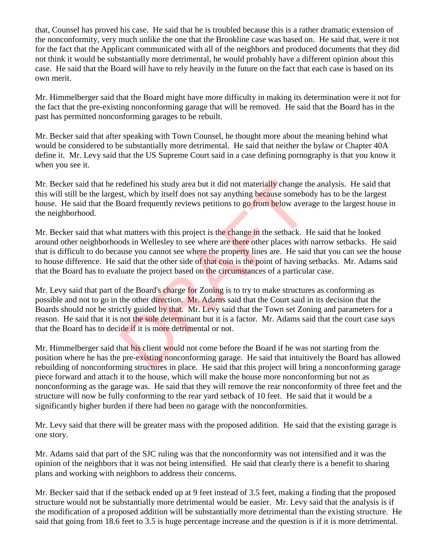that, Counsel has proved his case. He said that he is troubled because this is a rather dramatic extension of the nonconformity, very much unlike the one that the Brookline case was based on. He said that, were it not for the fact that the Applicant communicated with all of the neighbors and produced documents that they did not think it would be substantially more detrimental, he would probably have a different opinion about this case. He said that the Board will have to rely heavily in the future on the fact that each case is based on its own merit.

Mr. Himmelberger said that the Board might have more difficulty in making its determination were it not for the fact that the pre-existing nonconforming garage that will be removed. He said that the Board has in the past has permitted nonconforming garages to be rebuilt.

Mr. Becker said that after speaking with Town Counsel, he thought more about the meaning behind what would be considered to be substantially more detrimental. He said that neither the bylaw or Chapter 40A define it. Mr. Levy said that the US Supreme Court said in a case defining pornography is that you know it when you see it.

Mr. Becker said that he redefined his study area but it did not materially change the analysis. He said that this will still be the largest, which by itself does not say anything because somebody has to be the largest house. He said that the Board frequently reviews petitions to go from below average to the largest house in the neighborhood.

Mr. Becker said that what matters with this project is the change in the setback. He said that he looked around other neighborhoods in Wellesley to see where are there other places with narrow setbacks. He said that is difficult to do because you cannot see where the property lines are. He said that you can see the house to house difference. He said that the other side of that coin is the point of having setbacks. Mr. Adams said that the Board has to evaluate the project based on the circumstances of a particular case.

Mr. Levy said that part of the Board's charge for Zoning is to try to make structures as conforming as possible and not to go in the other direction. Mr. Adams said that the Court said in its decision that the Boards should not be strictly guided by that. Mr. Levy said that the Town set Zoning and parameters for a reason. He said that it is not the sole determinant but it is a factor. Mr. Adams said that the court case says that the Board has to decide if it is more detrimental or not. edefined his study area but it did not materially change the set st, which by itself does not say anything because somebologies somebologies somehologies of frequently reviews petitions to go from below averat that matters

Mr. Himmelberger said that his client would not come before the Board if he was not starting from the position where he has the pre-existing nonconforming garage. He said that intuitively the Board has allowed rebuilding of nonconforming structures in place. He said that this project will bring a nonconforming garage piece forward and attach it to the house, which will make the house more nonconforming but not as nonconforming as the garage was. He said that they will remove the rear nonconformity of three feet and the structure will now be fully conforming to the rear yard setback of 10 feet. He said that it would be a significantly higher burden if there had been no garage with the nonconformities.

Mr. Levy said that there will be greater mass with the proposed addition. He said that the existing garage is one story.

Mr. Adams said that part of the SJC ruling was that the nonconformity was not intensified and it was the opinion of the neighbors that it was not being intensified. He said that clearly there is a benefit to sharing plans and working with neighbors to address their concerns.

Mr. Becker said that if the setback ended up at 9 feet instead of 3.5 feet, making a finding that the proposed structure would not be substantially more detrimental would be easier. Mr. Levy said that the analysis is if the modification of a proposed addition will be substantially more detrimental than the existing structure. He said that going from 18.6 feet to 3.5 is huge percentage increase and the question is if it is more detrimental.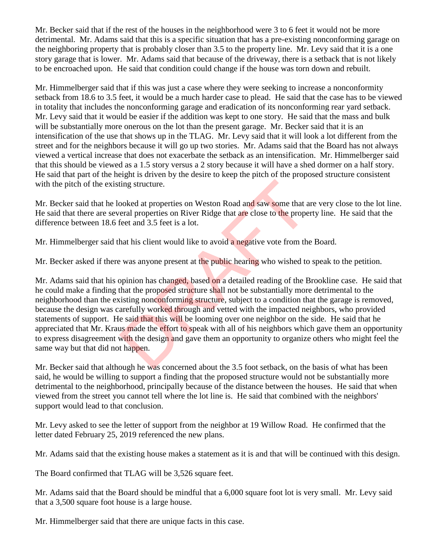Mr. Becker said that if the rest of the houses in the neighborhood were 3 to 6 feet it would not be more detrimental. Mr. Adams said that this is a specific situation that has a pre-existing nonconforming garage on the neighboring property that is probably closer than 3.5 to the property line. Mr. Levy said that it is a one story garage that is lower. Mr. Adams said that because of the driveway, there is a setback that is not likely to be encroached upon. He said that condition could change if the house was torn down and rebuilt.

Mr. Himmelberger said that if this was just a case where they were seeking to increase a nonconformity setback from 18.6 to 3.5 feet, it would be a much harder case to plead. He said that the case has to be viewed in totality that includes the nonconforming garage and eradication of its nonconforming rear yard setback. Mr. Levy said that it would be easier if the addition was kept to one story. He said that the mass and bulk will be substantially more onerous on the lot than the present garage. Mr. Becker said that it is an intensification of the use that shows up in the TLAG. Mr. Levy said that it will look a lot different from the street and for the neighbors because it will go up two stories. Mr. Adams said that the Board has not always viewed a vertical increase that does not exacerbate the setback as an intensification. Mr. Himmelberger said that this should be viewed as a 1.5 story versus a 2 story because it will have a shed dormer on a half story. He said that part of the height is driven by the desire to keep the pitch of the proposed structure consistent with the pitch of the existing structure.

Mr. Becker said that he looked at properties on Weston Road and saw some that are very close to the lot line. He said that there are several properties on River Ridge that are close to the property line. He said that the difference between 18.6 feet and 3.5 feet is a lot.

Mr. Himmelberger said that his client would like to avoid a negative vote from the Board.

Mr. Becker asked if there was anyone present at the public hearing who wished to speak to the petition.

Mr. Adams said that his opinion has changed, based on a detailed reading of the Brookline case. He said that he could make a finding that the proposed structure shall not be substantially more detrimental to the neighborhood than the existing nonconforming structure, subject to a condition that the garage is removed, because the design was carefully worked through and vetted with the impacted neighbors, who provided statements of support. He said that this will be looming over one neighbor on the side. He said that he appreciated that Mr. Kraus made the effort to speak with all of his neighbors which gave them an opportunity to express disagreement with the design and gave them an opportunity to organize others who might feel the same way but that did not happen. ing structure.<br>
sooked at properties on Weston Road and saw some that a<br>
eral properties on River Ridge that are close to the prope<br>
feet and 3.5 feet is a lot.<br>
hat his client would like to avoid a negative vote from the<br>

Mr. Becker said that although he was concerned about the 3.5 foot setback, on the basis of what has been said, he would be willing to support a finding that the proposed structure would not be substantially more detrimental to the neighborhood, principally because of the distance between the houses. He said that when viewed from the street you cannot tell where the lot line is. He said that combined with the neighbors' support would lead to that conclusion.

Mr. Levy asked to see the letter of support from the neighbor at 19 Willow Road. He confirmed that the letter dated February 25, 2019 referenced the new plans.

Mr. Adams said that the existing house makes a statement as it is and that will be continued with this design.

The Board confirmed that TLAG will be 3,526 square feet.

Mr. Adams said that the Board should be mindful that a 6,000 square foot lot is very small. Mr. Levy said that a 3,500 square foot house is a large house.

Mr. Himmelberger said that there are unique facts in this case.